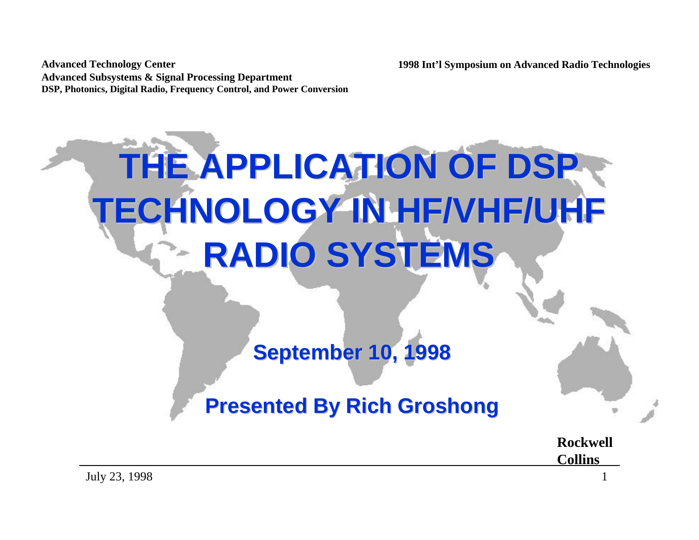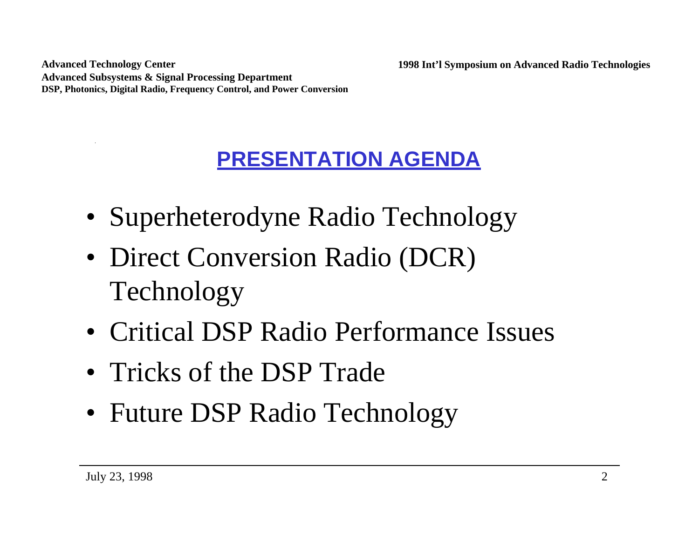# **PRESENTATION AGENDA**

- Superheterodyne Radio Technology
- Direct Conversion Radio (DCR) Technology
- Critical DSP Radio Performance Issues
- Tricks of the DSP Trade
- Future DSP Radio Technology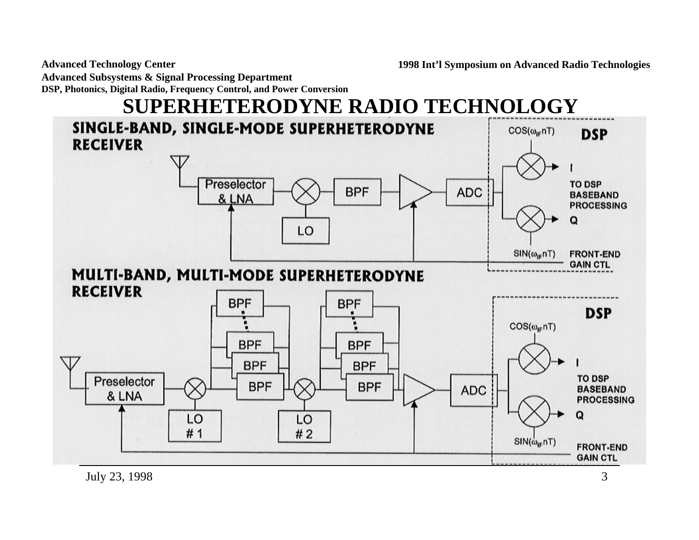**Advanced Technology Center Advanced Subsystems & Signal Processing Department**

**DSP, Photonics, Digital Radio, Frequency Control, and Power Conversion**

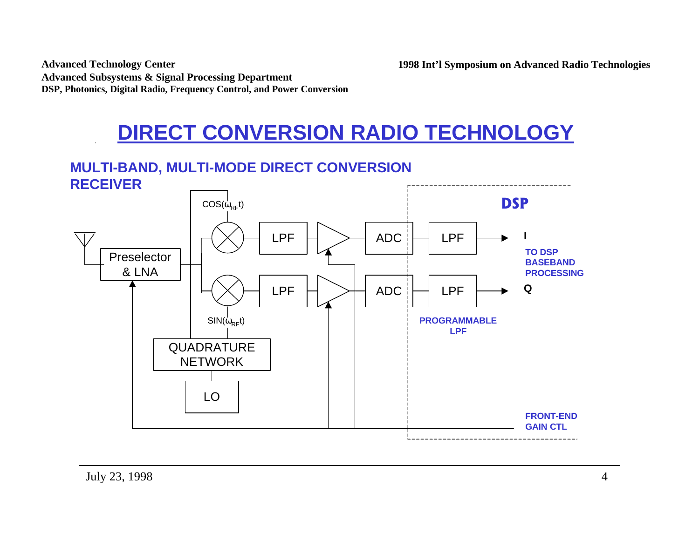## **DIRECT CONVERSION RADIO TECHNOLOGY**

## **MULTI-BAND, MULTI-MODE DIRECT CONVERSION**



**1998 Int'l Symposium on Advanced Radio Technologies**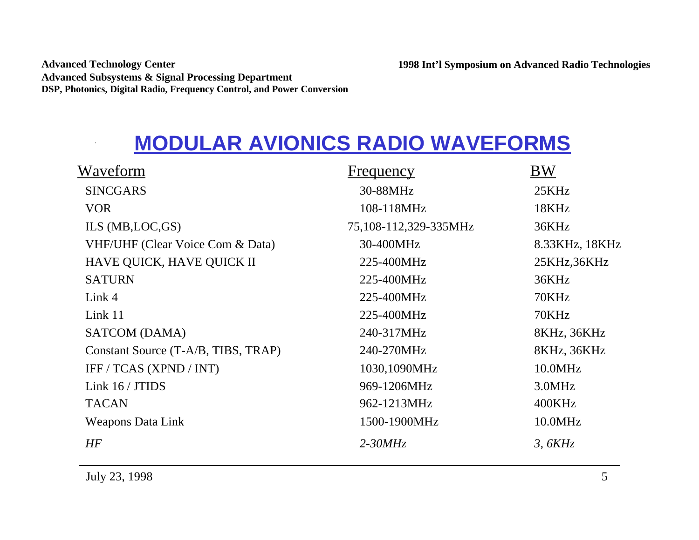# **MODULAR AVIONICS RADIO WAVEFORMS**

| Waveform                            | <b>Frequency</b>      | <b>BW</b>      |
|-------------------------------------|-----------------------|----------------|
| <b>SINCGARS</b>                     | 30-88MHz              | 25KHz          |
| VOR.                                | 108-118MHz            | 18KHz          |
| ILS (MB, LOC, GS)                   | 75,108-112,329-335MHz | 36KHz          |
| VHF/UHF (Clear Voice Com & Data)    | 30-400MHz             | 8.33KHz, 18KHz |
| HAVE QUICK, HAVE QUICK II           | 225-400MHz            | 25KHz,36KHz    |
| <b>SATURN</b>                       | 225-400MHz            | 36KHz          |
| Link 4                              | 225-400MHz            | 70KHz          |
| Link 11                             | 225-400MHz            | 70KHz          |
| SATCOM (DAMA)                       | 240-317MHz            | 8KHz, 36KHz    |
| Constant Source (T-A/B, TIBS, TRAP) | 240-270MHz            | 8KHz, 36KHz    |
| IFF / TCAS (XPND / INT)             | 1030,1090MHz          | 10.0MHz        |
| Link 16 / JTIDS                     | 969-1206MHz           | 3.0MHz         |
| <b>TACAN</b>                        | 962-1213MHz           | 400KHz         |
| <b>Weapons Data Link</b>            | 1500-1900MHz          | 10.0MHz        |
| <b>HF</b>                           | $2 - 30MHz$           | 3, 6KHz        |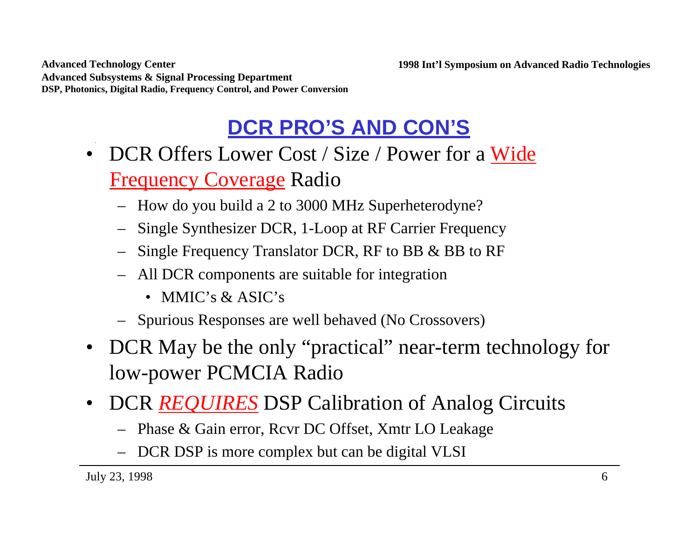# **DCR PRO'S AND CON'S**

- DCR Offers Lower Cost / Size / Power for a Wide Frequency Coverage Radio
	- How do you build a 2 to 3000 MHz Superheterodyne?
	- Single Synthesizer DCR, 1-Loop at RF Carrier Frequency
	- Single Frequency Translator DCR, RF to BB & BB to RF
	- All DCR components are suitable for integration
		- MMIC's & ASIC's
	- Spurious Responses are well behaved (No Crossovers)
- DCR May be the only "practical" near-term technology for low-power PCMCIA Radio
- DCR *REQUIRES* DSP Calibration of Analog Circuits
	- Phase & Gain error, Rcvr DC Offset, Xmtr LO Leakage
	- DCR DSP is more complex but can be digital VLSI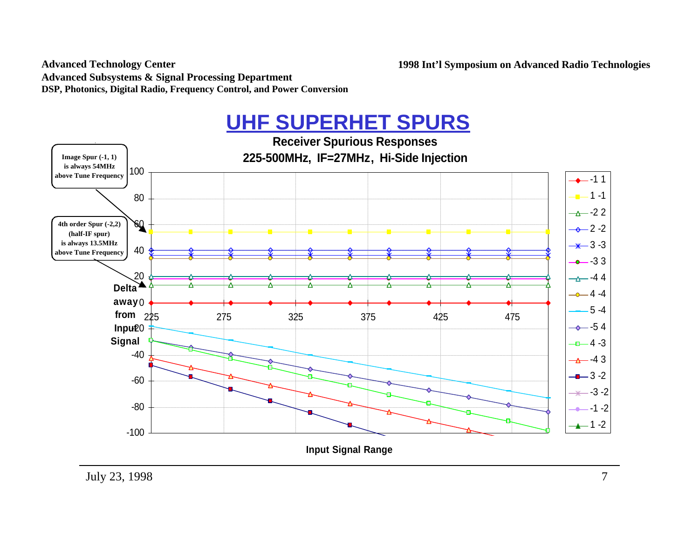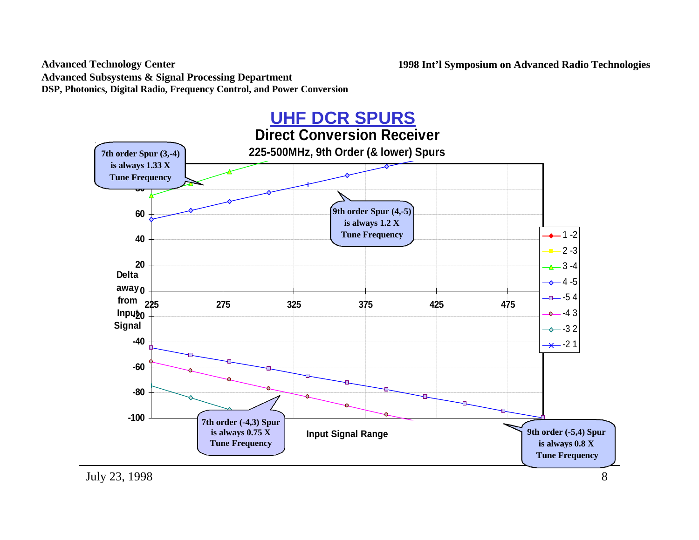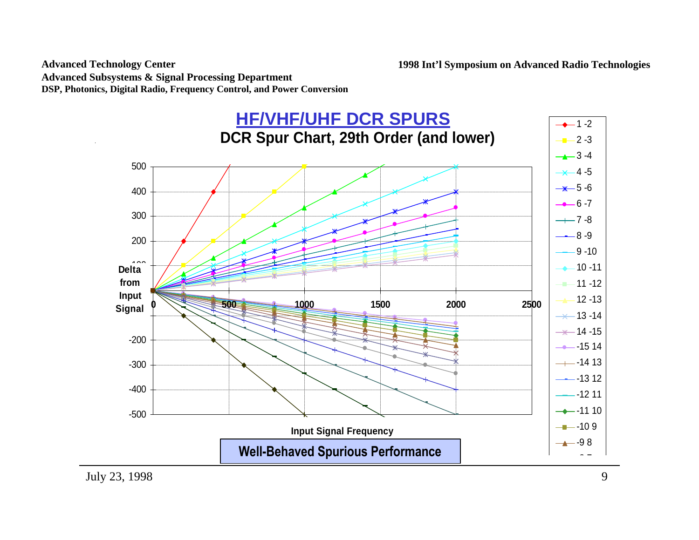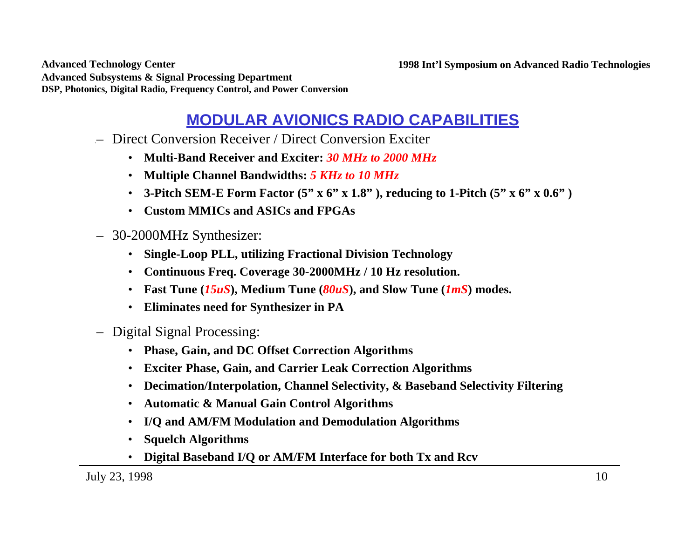**Advanced Technology Center Advanced Subsystems & Signal Processing Department DSP, Photonics, Digital Radio, Frequency Control, and Power Conversion**

### **MODULAR AVIONICS RADIO CAPABILITIES**

- Direct Conversion Receiver / Direct Conversion Exciter
	- **Multi-Band Receiver and Exciter:** *30 MHz to 2000 MHz*
	- **Multiple Channel Bandwidths:** *5 KHz to 10 MHz*
	- **3-Pitch SEM-E Form Factor (5" x 6" x 1.8" ), reducing to 1-Pitch (5" x 6" x 0.6" )**
	- **Custom MMICs and ASICs and FPGAs**
- 30-2000MHz Synthesizer:
	- **Single-Loop PLL, utilizing Fractional Division Technology**
	- **Continuous Freq. Coverage 30-2000MHz / 10 Hz resolution.**
	- **Fast Tune (***15uS***), Medium Tune (***80uS***), and Slow Tune (***1mS***) modes.**
	- **Eliminates need for Synthesizer in PA**
- Digital Signal Processing:
	- **Phase, Gain, and DC Offset Correction Algorithms**
	- **Exciter Phase, Gain, and Carrier Leak Correction Algorithms**
	- **Decimation/Interpolation, Channel Selectivity, & Baseband Selectivity Filtering**
	- **Automatic & Manual Gain Control Algorithms**
	- **I/Q and AM/FM Modulation and Demodulation Algorithms**
	- **Squelch Algorithms**
	- **Digital Baseband I/Q or AM/FM Interface for both Tx and Rcv**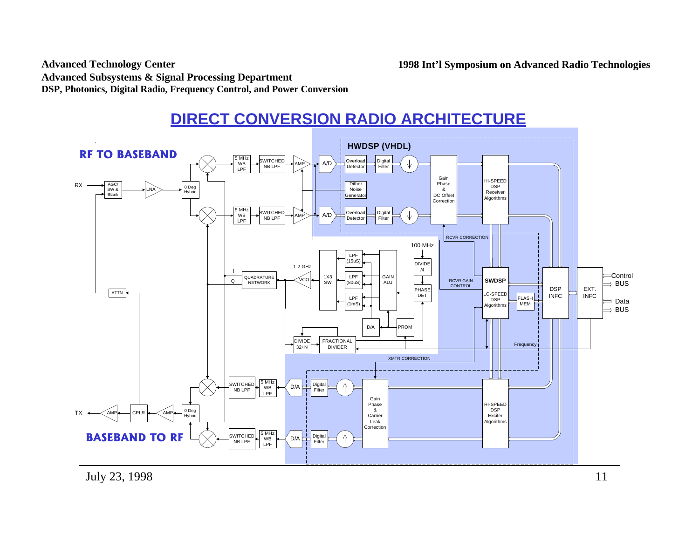#### **DIRECT CONVERSION RADIO ARCHITECTURE**

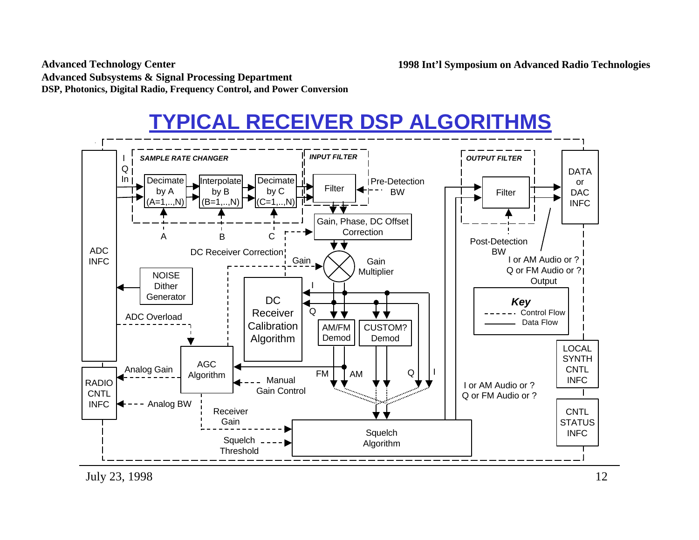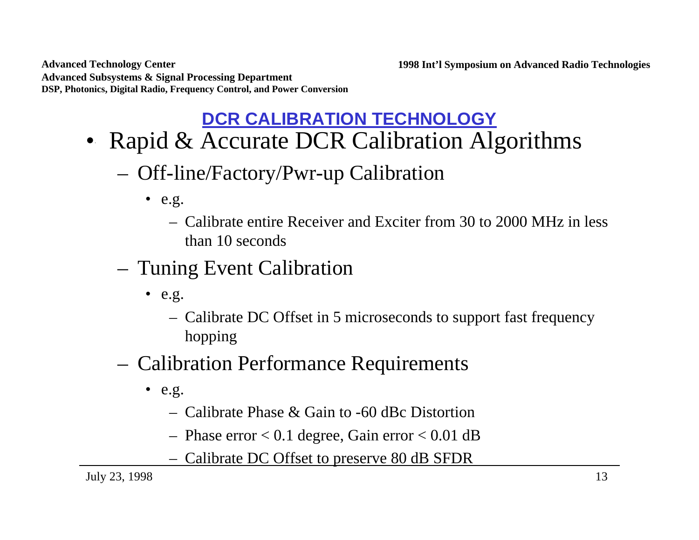**Advanced Technology Center Advanced Subsystems & Signal Processing Department DSP, Photonics, Digital Radio, Frequency Control, and Power Conversion**

## **DCR CALIBRATION TECHNOLOGY**

- Rapid & Accurate DCR Calibration Algorithms
	- Off-line/Factory/Pwr-up Calibration
		- $\bullet$  e.g.
			- Calibrate entire Receiver and Exciter from 30 to 2000 MHz in less than 10 seconds
	- Tuning Event Calibration
		- $\bullet$  e.g.
			- Calibrate DC Offset in 5 microseconds to support fast frequency hopping
	- Calibration Performance Requirements
		- $\bullet$  e.g.
			- Calibrate Phase & Gain to -60 dBc Distortion
			- Phase error  $< 0.1$  degree, Gain error  $< 0.01$  dB
			- Calibrate DC Offset to preserve 80 dB SFDR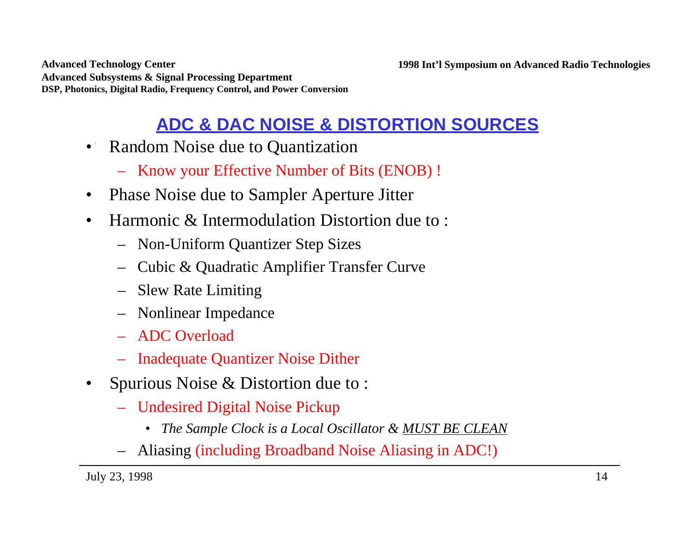**Advanced Technology Center Advanced Subsystems & Signal Processing Department DSP, Photonics, Digital Radio, Frequency Control, and Power Conversion**

## **ADC & DAC NOISE & DISTORTION SOURCES**

- Random Noise due to Quantization
	- Know your Effective Number of Bits (ENOB) !
- Phase Noise due to Sampler Aperture Jitter
- Harmonic & Intermodulation Distortion due to:
	- Non-Uniform Quantizer Step Sizes
	- Cubic & Quadratic Amplifier Transfer Curve
	- Slew Rate Limiting
	- Nonlinear Impedance
	- ADC Overload
	- Inadequate Quantizer Noise Dither
- Spurious Noise & Distortion due to :
	- Undesired Digital Noise Pickup
		- *The Sample Clock is a Local Oscillator & MUST BE CLEAN*
	- Aliasing (including Broadband Noise Aliasing in ADC!)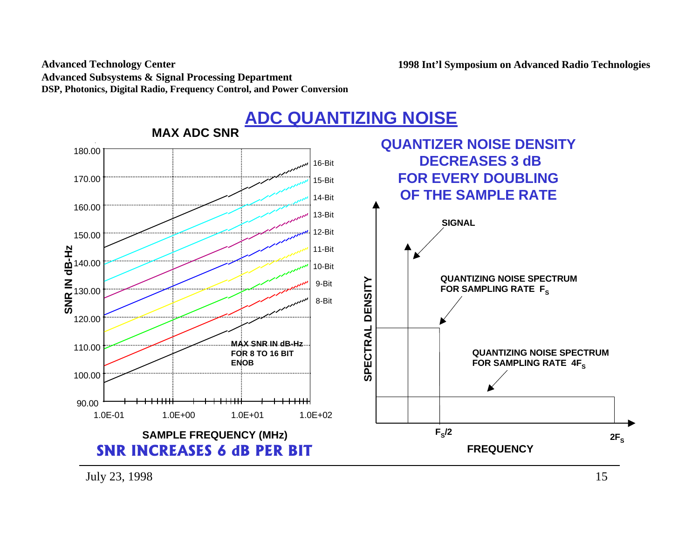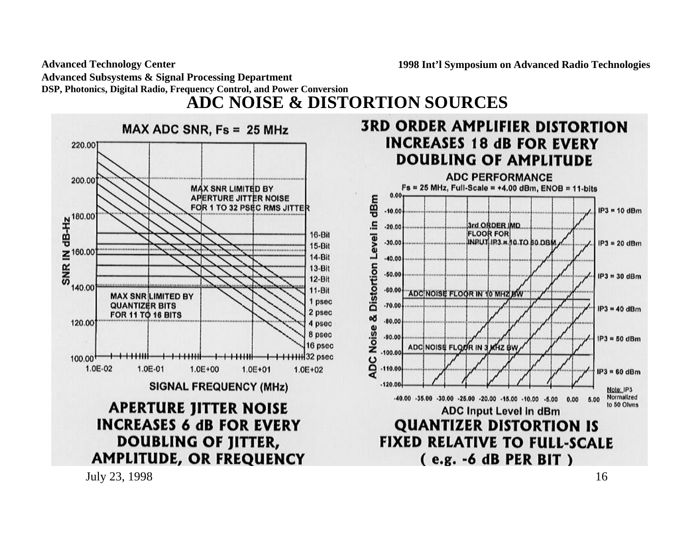**ADC NOISE & DISTORTION SOURCES**

 $MAX ADC SNR, Fs = 25 MHz$ 220.001 200.00 **MAX SNR LIMITED BY** APERTURE JITTER NOISE  $\frac{R}{4}^{180.00}$ FOR 1 TO 32 PSEC RMS JITTER 16-Bit 15-Bit  $\leq$ <sup>160.00</sup> ..................... 14-Bit **SNR**  $13-Bit$  $12 - B$ it 140.00  $11-Bit$ **MAX SNR LIMITED BY** 1 psec **QUANTIZER BITS** 2 psec **FOR 11 TO 16 BITS** 120.00 4 psec 8 psec 16 psec  $100.00^{+}$ 1.0E-02 1.0E-01  $1.0E + 00$ 1.0E+01  $1.0E + 02$ **SIGNAL FREQUENCY (MHz) APERTURE JITTER NOISE INCREASES 6 dB FOR EVERY DOUBLING OF JITTER, AMPLITUDE, OR FREQUENCY** 



July 23, 1998  $16$ 

**1998 Int'l Symposium on Advanced Radio Technologies**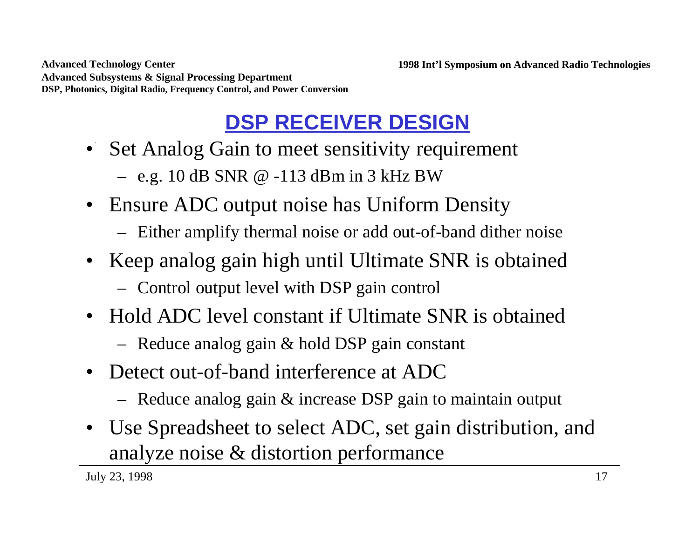# **DSP RECEIVER DESIGN**

• Set Analog Gain to meet sensitivity requirement

– e.g. 10 dB SNR @ -113 dBm in 3 kHz BW

- Ensure ADC output noise has Uniform Density
	- Either amplify thermal noise or add out-of-band dither noise
- Keep analog gain high until Ultimate SNR is obtained
	- Control output level with DSP gain control
- Hold ADC level constant if Ultimate SNR is obtained
	- Reduce analog gain & hold DSP gain constant
- Detect out-of-band interference at ADC
	- Reduce analog gain & increase DSP gain to maintain output
- Use Spreadsheet to select ADC, set gain distribution, and analyze noise & distortion performance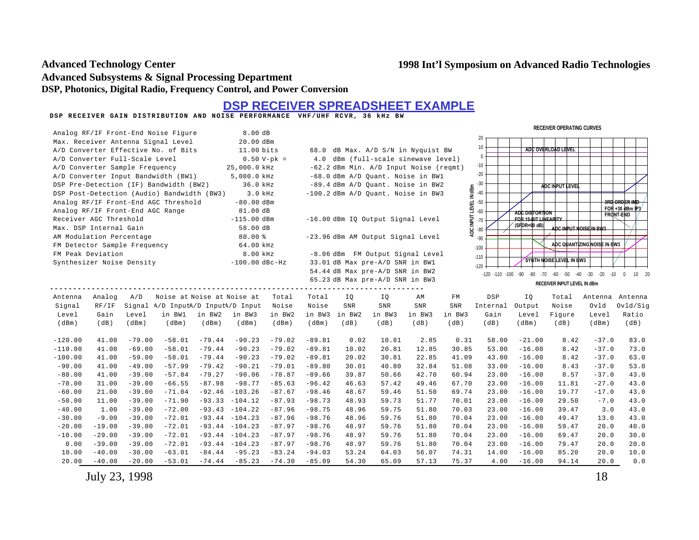$\frac{1}{2}$ 

#### **Advanced Technology Center Advanced Subsystems & Signal Processing Department DSP, Photonics, Digital Radio, Frequency Control, and Power Conversion**

### **DSP RECEIVER GAIN DISTRIBUTION AND NOISE PERFORMANCE VHF/UHF RCVR, 36 kHz BW DSP RECEIVER SPREADSHEET EXAMPLE**

| 8.00 dB<br>Analog RF/IF Front-End Noise Figure                                                           |          |          |                                            |          | <b>RECEIVER OPERATING CURVES</b>                                          |          |          |                                   |                                 |                                        |                                               |          |                                                    |                             |                             |                         |
|----------------------------------------------------------------------------------------------------------|----------|----------|--------------------------------------------|----------|---------------------------------------------------------------------------|----------|----------|-----------------------------------|---------------------------------|----------------------------------------|-----------------------------------------------|----------|----------------------------------------------------|-----------------------------|-----------------------------|-------------------------|
|                                                                                                          |          |          |                                            |          |                                                                           |          |          |                                   |                                 |                                        |                                               | 20       |                                                    |                             |                             |                         |
| Max. Receiver Antenna Signal Level<br>A/D Converter Effective No. of Bits                                |          |          | 20.00 dBm<br>11.00 bits                    |          |                                                                           |          |          |                                   | 10                              |                                        | ADC OVERLOAD LEVEL                            |          |                                                    |                             |                             |                         |
| A/D Converter Full-Scale Level                                                                           |          |          | $0.50 V-pk =$                              |          | 68.0 dB Max. A/D S/N in Nyquist BW<br>4.0 dBm (full-scale sinewave level) |          |          |                                   | $\theta$                        |                                        |                                               |          |                                                    |                             |                             |                         |
| A/D Converter Sample Frequency                                                                           |          |          |                                            |          | 25,000.0 kHz                                                              |          |          |                                   |                                 | -62.2 dBm Min. A/D Input Noise (regmt) |                                               | $-10$    |                                                    |                             |                             |                         |
|                                                                                                          |          |          |                                            |          |                                                                           |          |          |                                   |                                 | -68.0 dBm A/D Quant. Noise in BW1      |                                               | $-20$    |                                                    |                             |                             |                         |
| A/D Converter Input Bandwidth (BW1)<br>5,000.0 kHz<br>DSP Pre-Detection (IF) Bandwidth (BW2)<br>36.0 kHz |          |          |                                            |          |                                                                           |          |          | -89.4 dBm A/D Ouant. Noise in BW2 |                                 | $-30$                                  |                                               |          |                                                    |                             |                             |                         |
|                                                                                                          |          |          | DSP Post-Detection (Audio) Bandwidth (BW3) |          | 3.0 kHz                                                                   |          |          |                                   |                                 | -100.2 dBm A/D Quant. Noise in BW3     |                                               | $-40$    |                                                    | ADC INPUT LEVEL             |                             |                         |
|                                                                                                          |          |          | Analog RF/IF Front-End AGC Threshold       |          | $-80.00$ dBm                                                              |          |          |                                   |                                 |                                        |                                               | $-50$    |                                                    |                             |                             | 3RD ORDER IMD           |
|                                                                                                          |          |          |                                            |          | 81.00 dB                                                                  |          |          |                                   |                                 |                                        | ADC INPUT LEVEL IN dBm                        | $-60$    |                                                    |                             |                             | FOR +30 dBm $IP3$       |
| Analog RF/IF Front-End AGC Range<br>Receiver AGC Threshold                                               |          |          | $-115.00$ dBm                              |          |                                                                           |          |          | -16.00 dBm IQ Output Signal Level |                                 | $-70$                                  | <b>ADC DISTORTION</b><br>FOR 15-BIT LINEARITY |          |                                                    | <b>FRONT-END</b>            |                             |                         |
| Max. DSP Internal Gain                                                                                   |          |          |                                            |          | 58.00 dB                                                                  |          |          |                                   |                                 |                                        |                                               |          | (SFDR=90 dB)                                       | ADC INPUT NOISE IN BW3      |                             |                         |
| AM Modulation Percentage                                                                                 |          |          |                                            |          | 80.00%                                                                    |          |          |                                   |                                 | -23.96 dBm AM Output Signal Level      |                                               | $-80$    |                                                    |                             |                             |                         |
| FM Detector Sample Frequency                                                                             |          |          |                                            |          | 64.00 kHz                                                                 |          |          |                                   |                                 |                                        |                                               | $-90$    |                                                    |                             | ADC QUANTIZING NOISE IN BW3 |                         |
| FM Peak Deviation                                                                                        |          |          |                                            |          | 8.00 kHz                                                                  |          |          |                                   |                                 | -8.06 dBm FM Output Signal Level       |                                               | $-100$   |                                                    |                             |                             |                         |
| Synthesizer Noise Density                                                                                |          |          |                                            |          | $-100.00$ dBc-Hz                                                          |          |          |                                   | 33.01 dB Max pre-A/D SNR in BW1 |                                        |                                               | $-110$   |                                                    | SYNTH NOISE LEVEL IN BW3    |                             |                         |
|                                                                                                          |          |          |                                            |          |                                                                           |          |          |                                   | 54.44 dB Max pre-A/D SNR in BW2 |                                        |                                               | $-120$   |                                                    |                             |                             |                         |
|                                                                                                          |          |          |                                            |          |                                                                           |          |          |                                   | 65.23 dB Max pre-A/D SNR in BW3 |                                        |                                               |          | -120 -110 -100 -90 -80 -70 -60 -50 -40 -30 -20 -10 |                             |                             | 10 20<br>$\overline{0}$ |
|                                                                                                          |          |          |                                            |          |                                                                           |          |          |                                   |                                 |                                        |                                               |          |                                                    | RECEIVER INPUT LEVEL IN dBm |                             |                         |
| Antenna                                                                                                  | Analog   | A/D      | Noise at Noise at Noise at                 |          |                                                                           | Total    | Total    | IO.                               | I0                              | AM                                     | FM                                            | DSP      | IO.                                                | Total                       | Antenna                     | Antenna                 |
| Signal                                                                                                   | RF/IF    |          | Signal A/D InputA/D InputA/D Input         |          |                                                                           | Noise    | Noise    | SNR                               | SNR                             | <b>SNR</b>                             | <b>SNR</b>                                    | Internal | Output                                             | Noise                       | Ovld                        | Ovld/Sig                |
| Level                                                                                                    | Gain     | Level    | in BW1                                     | in BW2   | in BW3                                                                    | in BW2   | in BW3   | in BW2                            | in BW3                          | in BW3                                 | in BW3                                        | Gain     | Level                                              | Figure                      | Level                       | Ratio                   |
| (dBm)                                                                                                    | (dB)     | (dBm)    | (dBm)                                      | (dBm)    | (dBm)                                                                     | (dBm)    | (dBm)    | (dB)                              | (dB)                            | (dB)                                   | (dB)                                          | (dB)     | (dBm)                                              | (dB)                        | (dBm)                       | (dB)                    |
|                                                                                                          |          |          |                                            |          |                                                                           |          |          |                                   |                                 |                                        |                                               |          |                                                    |                             |                             |                         |
| $-120.00$                                                                                                | 41.00    | $-79.00$ | $-58.01$                                   | $-79.44$ | $-90.23$                                                                  | $-79.02$ | $-89.81$ | 0.02                              | 10.81                           | 2.85                                   | 0.31                                          | 58.00    | $-21.00$                                           | 8.42                        | $-37.0$                     | 83.0                    |
| $-110.00$                                                                                                | 41.00    | $-69.00$ | $-58.01$                                   | $-79.44$ | $-90.23$                                                                  | $-79.02$ | $-89.81$ | 10.02                             | 20.81                           | 12.85                                  | 30.85                                         | 53.00    | $-16.00$                                           | 8.42                        | $-37.0$                     | 73.0                    |
| $-100.00$                                                                                                | 41.00    | $-59.00$ | $-58.01$                                   | $-79.44$ | $-90.23$                                                                  | $-79.02$ | $-89.81$ | 20.02                             | 30.81                           | 22.85                                  | 41.09                                         | 43.00    | $-16.00$                                           | 8.42                        | $-37.0$                     | 63.0                    |
| $-90.00$                                                                                                 | 41.00    | $-49.00$ | $-57.99$                                   | $-79.42$ | $-90.21$                                                                  | $-79.01$ | $-89.80$ | 30.01                             | 40.80                           | 32.84                                  | 51.08                                         | 33.00    | $-16.00$                                           | 8.43                        | $-37.0$                     | 53.0                    |
| $-80.00$                                                                                                 | 41.00    | $-39.00$ | $-57.84$                                   | $-79.27$ | $-90.06$                                                                  | $-78.87$ | $-89.66$ | 39.87                             | 50.66                           | 42.70                                  | 60.94                                         | 23.00    | $-16.00$                                           | 8.57                        | $-37.0$                     | 43.0                    |
| $-70.00$                                                                                                 | 31.00    | $-39.00$ | $-66.55$                                   | $-87.98$ | $-98.77$                                                                  | $-85.63$ | $-96.42$ | 46.63                             | 57.42                           | 49.46                                  | 67.70                                         | 23.00    | $-16.00$                                           | 11.81                       | $-27.0$                     | 43.0                    |
| $-60.00$                                                                                                 | 21.00    | $-39.00$ | $-71.04$                                   | $-92.46$ | $-103.26$                                                                 | $-87.67$ | $-98.46$ | 48.67                             | 59.46                           | 51.50                                  | 69.74                                         | 23.00    | $-16.00$                                           | 19.77                       | $-17.0$                     | 43.0                    |
| $-50.00$                                                                                                 | 11.00    | $-39.00$ | $-71.90$                                   | $-93.33$ | $-104.12$                                                                 | $-87.93$ | $-98.73$ | 48.93                             | 59.73                           | 51.77                                  | 70.01                                         | 23.00    | $-16.00$                                           | 29.50                       | $-7.0$                      | 43.0                    |
| $-40.00$                                                                                                 | 1.00     | $-39.00$ | $-72.00$                                   |          | $-93.43 - 104.22$                                                         | $-87.96$ | $-98.75$ | 48.96                             | 59.75                           | 51.80                                  | 70.03                                         | 23.00    | $-16.00$                                           | 39.47                       | 3.0                         | 43.0                    |
| $-30.00$                                                                                                 | $-9.00$  | $-39.00$ | $-72.01$                                   |          | $-93.44 - 104.23$                                                         | $-87.96$ | $-98.76$ | 48.96                             | 59.76                           | 51.80                                  | 70.04                                         | 23.00    | $-16.00$                                           | 49.47                       | 13.0                        | 43.0                    |
| $-20.00$                                                                                                 | $-19.00$ | $-39.00$ | $-72.01$                                   |          | $-93.44 - 104.23$                                                         | $-87.97$ | $-98.76$ | 48.97                             | 59.76                           | 51.80                                  | 70.04                                         | 23.00    | $-16.00$                                           | 59.47                       | 20.0                        | 40.0                    |
| $-10.00$                                                                                                 | $-29.00$ | $-39.00$ | $-72.01$                                   |          | $-93.44 - 104.23$                                                         | $-87.97$ | $-98.76$ | 48.97                             | 59.76                           | 51.80                                  | 70.04                                         | 23.00    | $-16.00$                                           | 69.47                       | 20.0                        | 30.0                    |
| 0.00                                                                                                     | $-39.00$ | $-39.00$ | $-72.01$                                   |          | $-93.44 - 104.23$                                                         | $-87.97$ | $-98.76$ | 48.97                             | 59.76                           | 51.80                                  | 70.04                                         | 23.00    | $-16.00$                                           | 79.47                       | 20.0                        | 20.0                    |
| 10.00                                                                                                    | $-40.00$ | $-30.00$ | $-63.01$                                   | $-84.44$ | $-95.23$                                                                  | $-83.24$ | $-94.03$ | 53.24                             | 64.03                           | 56.07                                  | 74.31                                         | 14.00    | $-16.00$                                           | 85.20                       | 20.0                        | 10.0                    |
| 20.00                                                                                                    | $-40.00$ | $-20.00$ | $-53.01$                                   | $-74.44$ | $-85.23$                                                                  | $-74.30$ | $-85.09$ | 54.30                             | 65.09                           | 57.13                                  | 75.37                                         | 4.00     | $-16.00$                                           | 94.14                       | 20.0                        | 0.0                     |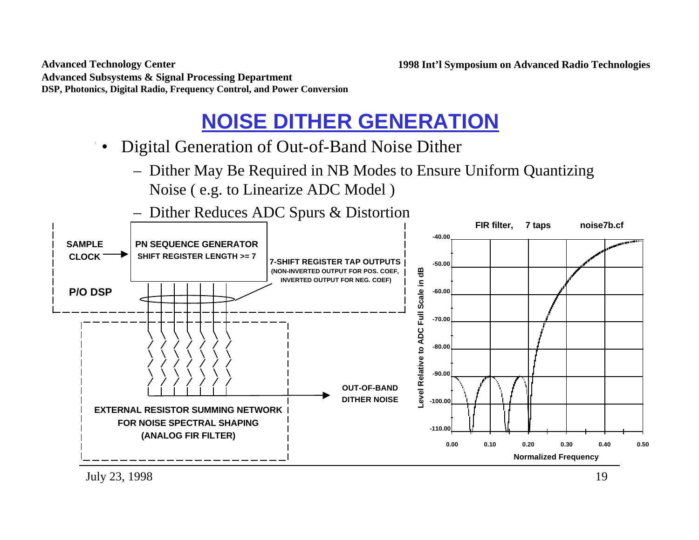## **NOISE DITHER GENERATION**

- Digital Generation of Out-of-Band Noise Dither
	- Dither May Be Required in NB Modes to Ensure Uniform Quantizing Noise ( e.g. to Linearize ADC Model )

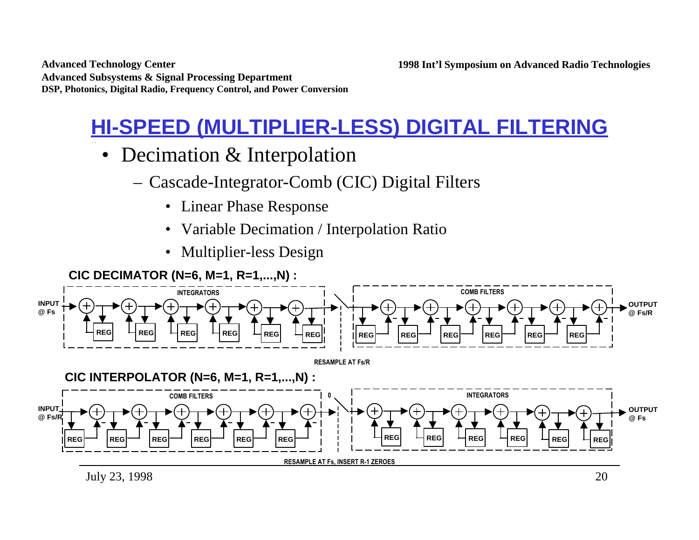## **HI-SPEED (MULTIPLIER-LESS) DIGITAL FILTERING**

- Decimation & Interpolation
	- Cascade-Integrator-Comb (CIC) Digital Filters
		- Linear Phase Response
		- Variable Decimation / Interpolation Ratio
		- Multiplier-less Design

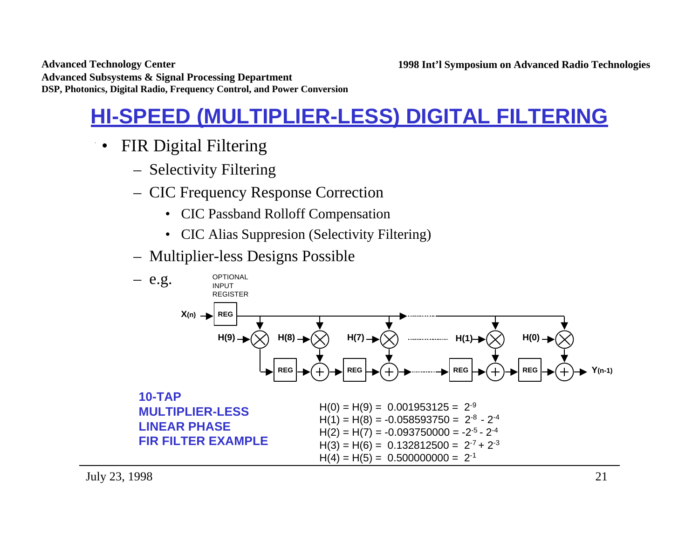## **HI-SPEED (MULTIPLIER-LESS) DIGITAL FILTERING**

- FIR Digital Filtering
	- Selectivity Filtering
	- CIC Frequency Response Correction
		- CIC Passband Rolloff Compensation
		- CIC Alias Suppresion (Selectivity Filtering)
	- Multiplier-less Designs Possible

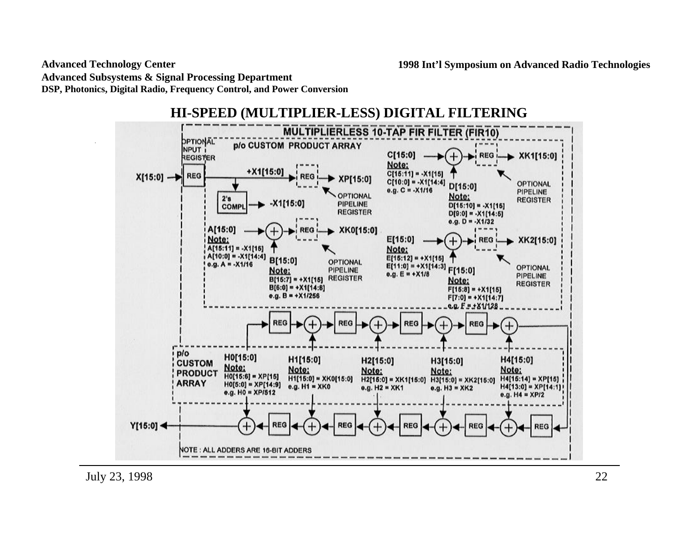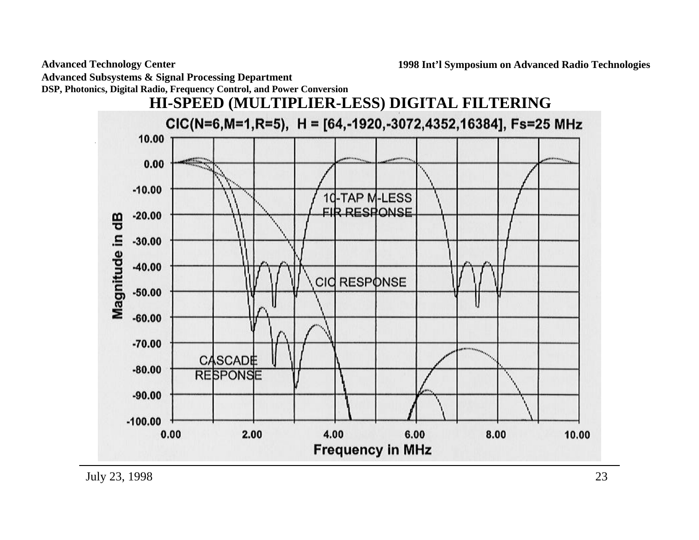**Advanced Technology Center**

**Advanced Subsystems & Signal Processing Department**

**DSP, Photonics, Digital Radio, Frequency Control, and Power Conversion**

![](_page_22_Figure_4.jpeg)